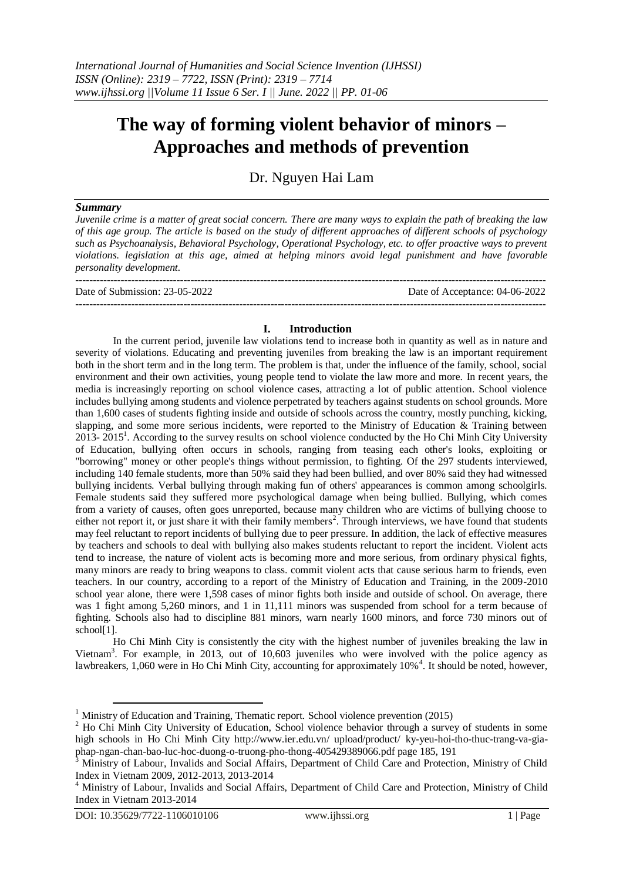# **The way of forming violent behavior of minors – Approaches and methods of prevention**

Dr. Nguyen Hai Lam

## *Summary*

*Juvenile crime is a matter of great social concern. There are many ways to explain the path of breaking the law of this age group. The article is based on the study of different approaches of different schools of psychology such as Psychoanalysis, Behavioral Psychology, Operational Psychology, etc. to offer proactive ways to prevent violations. legislation at this age, aimed at helping minors avoid legal punishment and have favorable personality development.*

--------------------------------------------------------------------------------------------------------------------------------------- Date of Submission: 23-05-2022 Date of Acceptance: 04-06-2022 ---------------------------------------------------------------------------------------------------------------------------------------

## **I. Introduction**

In the current period, juvenile law violations tend to increase both in quantity as well as in nature and severity of violations. Educating and preventing juveniles from breaking the law is an important requirement both in the short term and in the long term. The problem is that, under the influence of the family, school, social environment and their own activities, young people tend to violate the law more and more. In recent years, the media is increasingly reporting on school violence cases, attracting a lot of public attention. School violence includes bullying among students and violence perpetrated by teachers against students on school grounds. More than 1,600 cases of students fighting inside and outside of schools across the country, mostly punching, kicking, slapping, and some more serious incidents, were reported to the Ministry of Education & Training between 2013- 2015<sup>1</sup>. According to the survey results on school violence conducted by the Ho Chi Minh City University of Education, bullying often occurs in schools, ranging from teasing each other's looks, exploiting or "borrowing" money or other people's things without permission, to fighting. Of the 297 students interviewed, including 140 female students, more than 50% said they had been bullied, and over 80% said they had witnessed bullying incidents. Verbal bullying through making fun of others' appearances is common among schoolgirls. Female students said they suffered more psychological damage when being bullied. Bullying, which comes from a variety of causes, often goes unreported, because many children who are victims of bullying choose to either not report it, or just share it with their family members<sup>2</sup>. Through interviews, we have found that students may feel reluctant to report incidents of bullying due to peer pressure. In addition, the lack of effective measures by teachers and schools to deal with bullying also makes students reluctant to report the incident. Violent acts tend to increase, the nature of violent acts is becoming more and more serious, from ordinary physical fights, many minors are ready to bring weapons to class. commit violent acts that cause serious harm to friends, even teachers. In our country, according to a report of the Ministry of Education and Training, in the 2009-2010 school year alone, there were 1,598 cases of minor fights both inside and outside of school. On average, there was 1 fight among 5,260 minors, and 1 in 11,111 minors was suspended from school for a term because of fighting. Schools also had to discipline 881 minors, warn nearly 1600 minors, and force 730 minors out of school<sup>[1]</sup>.

Ho Chi Minh City is consistently the city with the highest number of juveniles breaking the law in Vietnam<sup>3</sup>. For example, in 2013, out of 10,603 juveniles who were involved with the police agency as lawbreakers, 1,060 were in Ho Chi Minh City, accounting for approximately 10%<sup>4</sup>. It should be noted, however,

 $\overline{a}$ 

<sup>&</sup>lt;sup>1</sup> Ministry of Education and Training, Thematic report. School violence prevention (2015)

<sup>&</sup>lt;sup>2</sup> Ho Chi Minh City University of Education, School violence behavior through a survey of students in some high schools in Ho Chi Minh City http://www.ier.edu.vn/ upload/product/ ky-yeu-hoi-tho-thuc-trang-va-giaphap-ngan-chan-bao-luc-hoc-duong-o-truong-pho-thong-405429389066.pdf page 185, 191

<sup>3</sup> Ministry of Labour, Invalids and Social Affairs, Department of Child Care and Protection, Ministry of Child Index in Vietnam 2009, 2012-2013, 2013-2014

<sup>4</sup> Ministry of Labour, Invalids and Social Affairs, Department of Child Care and Protection, Ministry of Child Index in Vietnam 2013-2014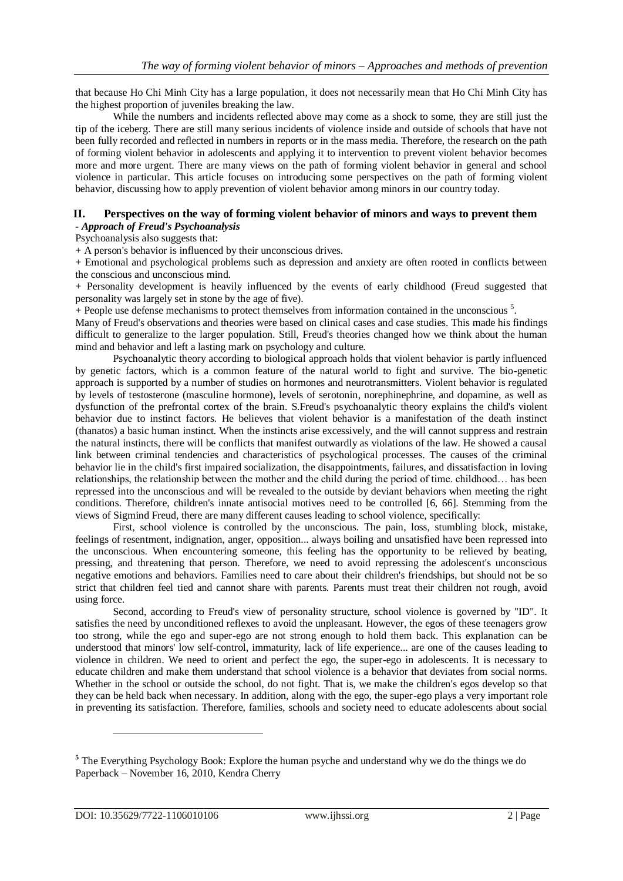that because Ho Chi Minh City has a large population, it does not necessarily mean that Ho Chi Minh City has the highest proportion of juveniles breaking the law.

While the numbers and incidents reflected above may come as a shock to some, they are still just the tip of the iceberg. There are still many serious incidents of violence inside and outside of schools that have not been fully recorded and reflected in numbers in reports or in the mass media. Therefore, the research on the path of forming violent behavior in adolescents and applying it to intervention to prevent violent behavior becomes more and more urgent. There are many views on the path of forming violent behavior in general and school violence in particular. This article focuses on introducing some perspectives on the path of forming violent behavior, discussing how to apply prevention of violent behavior among minors in our country today.

## **II. Perspectives on the way of forming violent behavior of minors and ways to prevent them** *- Approach of Freud's Psychoanalysis*

Psychoanalysis also suggests that:

+ A person's behavior is influenced by their unconscious drives.

+ Emotional and psychological problems such as depression and anxiety are often rooted in conflicts between the conscious and unconscious mind.

+ Personality development is heavily influenced by the events of early childhood (Freud suggested that personality was largely set in stone by the age of five).

+ People use defense mechanisms to protect themselves from information contained in the unconscious <sup>5</sup>.

Many of Freud's observations and theories were based on clinical cases and case studies. This made his findings difficult to generalize to the larger population. Still, Freud's theories changed how we think about the human mind and behavior and left a lasting mark on psychology and culture.

Psychoanalytic theory according to biological approach holds that violent behavior is partly influenced by genetic factors, which is a common feature of the natural world to fight and survive. The bio-genetic approach is supported by a number of studies on hormones and neurotransmitters. Violent behavior is regulated by levels of testosterone (masculine hormone), levels of serotonin, norephinephrine, and dopamine, as well as dysfunction of the prefrontal cortex of the brain. S.Freud's psychoanalytic theory explains the child's violent behavior due to instinct factors. He believes that violent behavior is a manifestation of the death instinct (thanatos) a basic human instinct. When the instincts arise excessively, and the will cannot suppress and restrain the natural instincts, there will be conflicts that manifest outwardly as violations of the law. He showed a causal link between criminal tendencies and characteristics of psychological processes. The causes of the criminal behavior lie in the child's first impaired socialization, the disappointments, failures, and dissatisfaction in loving relationships, the relationship between the mother and the child during the period of time. childhood… has been repressed into the unconscious and will be revealed to the outside by deviant behaviors when meeting the right conditions. Therefore, children's innate antisocial motives need to be controlled [6, 66]. Stemming from the views of Sigmind Freud, there are many different causes leading to school violence, specifically:

First, school violence is controlled by the unconscious. The pain, loss, stumbling block, mistake, feelings of resentment, indignation, anger, opposition... always boiling and unsatisfied have been repressed into the unconscious. When encountering someone, this feeling has the opportunity to be relieved by beating, pressing, and threatening that person. Therefore, we need to avoid repressing the adolescent's unconscious negative emotions and behaviors. Families need to care about their children's friendships, but should not be so strict that children feel tied and cannot share with parents. Parents must treat their children not rough, avoid using force.

Second, according to Freud's view of personality structure, school violence is governed by "ID". It satisfies the need by unconditioned reflexes to avoid the unpleasant. However, the egos of these teenagers grow too strong, while the ego and super-ego are not strong enough to hold them back. This explanation can be understood that minors' low self-control, immaturity, lack of life experience... are one of the causes leading to violence in children. We need to orient and perfect the ego, the super-ego in adolescents. It is necessary to educate children and make them understand that school violence is a behavior that deviates from social norms. Whether in the school or outside the school, do not fight. That is, we make the children's egos develop so that they can be held back when necessary. In addition, along with the ego, the super-ego plays a very important role in preventing its satisfaction. Therefore, families, schools and society need to educate adolescents about social

 $\overline{a}$ 

<sup>&</sup>lt;sup>5</sup> The Everything Psychology Book: Explore the human psyche and understand why we do the things we do Paperback – November 16, 2010, Kendra Cherry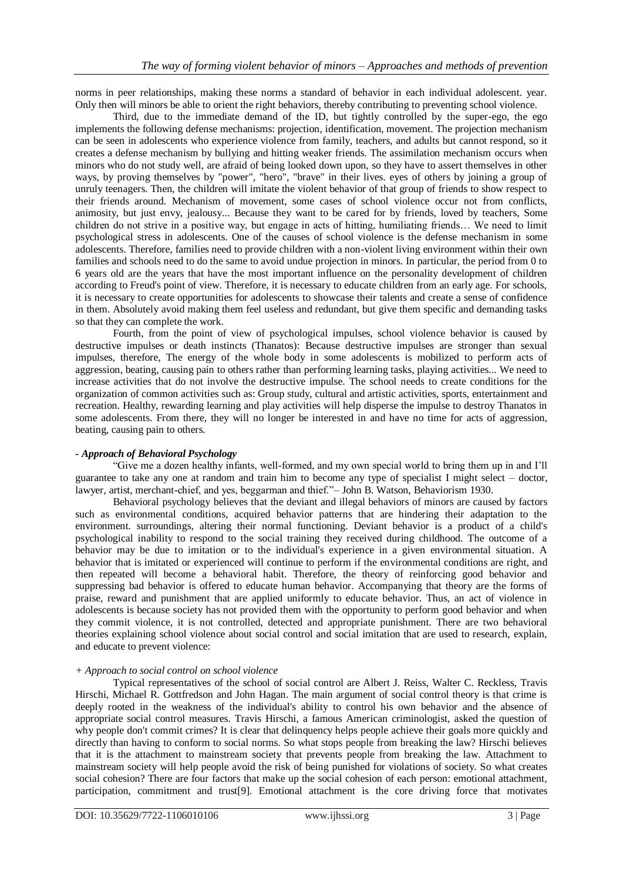norms in peer relationships, making these norms a standard of behavior in each individual adolescent. year. Only then will minors be able to orient the right behaviors, thereby contributing to preventing school violence.

Third, due to the immediate demand of the ID, but tightly controlled by the super-ego, the ego implements the following defense mechanisms: projection, identification, movement. The projection mechanism can be seen in adolescents who experience violence from family, teachers, and adults but cannot respond, so it creates a defense mechanism by bullying and hitting weaker friends. The assimilation mechanism occurs when minors who do not study well, are afraid of being looked down upon, so they have to assert themselves in other ways, by proving themselves by "power", "hero", "brave" in their lives. eyes of others by joining a group of unruly teenagers. Then, the children will imitate the violent behavior of that group of friends to show respect to their friends around. Mechanism of movement, some cases of school violence occur not from conflicts, animosity, but just envy, jealousy... Because they want to be cared for by friends, loved by teachers, Some children do not strive in a positive way, but engage in acts of hitting, humiliating friends… We need to limit psychological stress in adolescents. One of the causes of school violence is the defense mechanism in some adolescents. Therefore, families need to provide children with a non-violent living environment within their own families and schools need to do the same to avoid undue projection in minors. In particular, the period from 0 to 6 years old are the years that have the most important influence on the personality development of children according to Freud's point of view. Therefore, it is necessary to educate children from an early age. For schools, it is necessary to create opportunities for adolescents to showcase their talents and create a sense of confidence in them. Absolutely avoid making them feel useless and redundant, but give them specific and demanding tasks so that they can complete the work.

Fourth, from the point of view of psychological impulses, school violence behavior is caused by destructive impulses or death instincts (Thanatos): Because destructive impulses are stronger than sexual impulses, therefore, The energy of the whole body in some adolescents is mobilized to perform acts of aggression, beating, causing pain to others rather than performing learning tasks, playing activities... We need to increase activities that do not involve the destructive impulse. The school needs to create conditions for the organization of common activities such as: Group study, cultural and artistic activities, sports, entertainment and recreation. Healthy, rewarding learning and play activities will help disperse the impulse to destroy Thanatos in some adolescents. From there, they will no longer be interested in and have no time for acts of aggression, beating, causing pain to others.

## *- Approach of Behavioral Psychology*

"Give me a dozen healthy infants, well-formed, and my own special world to bring them up in and I'll guarantee to take any one at random and train him to become any type of specialist I might select – doctor, lawyer, artist, merchant-chief, and yes, beggarman and thief."– John B. Watson, Behaviorism 1930.

Behavioral psychology believes that the deviant and illegal behaviors of minors are caused by factors such as environmental conditions, acquired behavior patterns that are hindering their adaptation to the environment. surroundings, altering their normal functioning. Deviant behavior is a product of a child's psychological inability to respond to the social training they received during childhood. The outcome of a behavior may be due to imitation or to the individual's experience in a given environmental situation. A behavior that is imitated or experienced will continue to perform if the environmental conditions are right, and then repeated will become a behavioral habit. Therefore, the theory of reinforcing good behavior and suppressing bad behavior is offered to educate human behavior. Accompanying that theory are the forms of praise, reward and punishment that are applied uniformly to educate behavior. Thus, an act of violence in adolescents is because society has not provided them with the opportunity to perform good behavior and when they commit violence, it is not controlled, detected and appropriate punishment. There are two behavioral theories explaining school violence about social control and social imitation that are used to research, explain, and educate to prevent violence:

## *+ Approach to social control on school violence*

Typical representatives of the school of social control are Albert J. Reiss, Walter C. Reckless, Travis Hirschi, Michael R. Gottfredson and John Hagan. The main argument of social control theory is that crime is deeply rooted in the weakness of the individual's ability to control his own behavior and the absence of appropriate social control measures. Travis Hirschi, a famous American criminologist, asked the question of why people don't commit crimes? It is clear that delinquency helps people achieve their goals more quickly and directly than having to conform to social norms. So what stops people from breaking the law? Hirschi believes that it is the attachment to mainstream society that prevents people from breaking the law. Attachment to mainstream society will help people avoid the risk of being punished for violations of society. So what creates social cohesion? There are four factors that make up the social cohesion of each person: emotional attachment, participation, commitment and trust[9]. Emotional attachment is the core driving force that motivates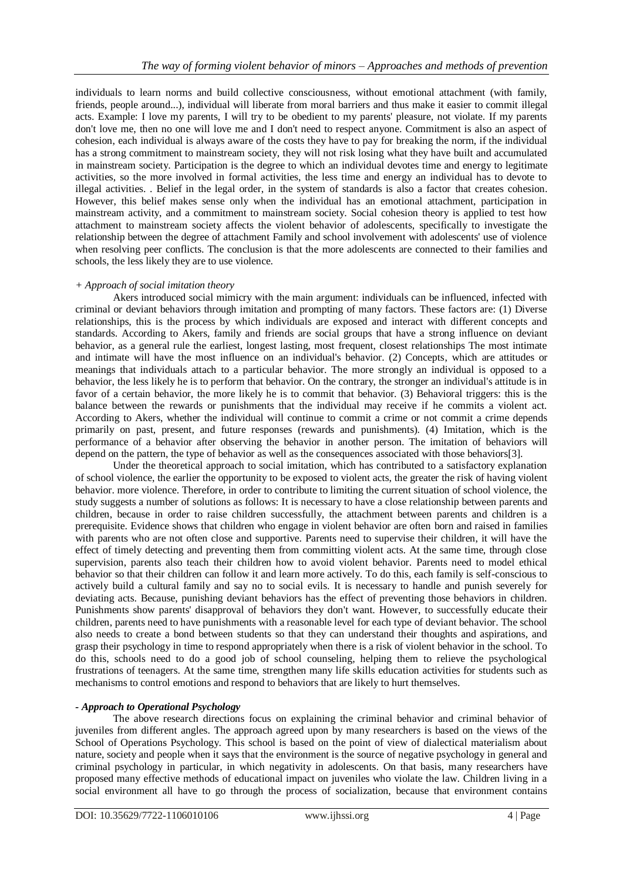individuals to learn norms and build collective consciousness, without emotional attachment (with family, friends, people around...), individual will liberate from moral barriers and thus make it easier to commit illegal acts. Example: I love my parents, I will try to be obedient to my parents' pleasure, not violate. If my parents don't love me, then no one will love me and I don't need to respect anyone. Commitment is also an aspect of cohesion, each individual is always aware of the costs they have to pay for breaking the norm, if the individual has a strong commitment to mainstream society, they will not risk losing what they have built and accumulated in mainstream society. Participation is the degree to which an individual devotes time and energy to legitimate activities, so the more involved in formal activities, the less time and energy an individual has to devote to illegal activities. . Belief in the legal order, in the system of standards is also a factor that creates cohesion. However, this belief makes sense only when the individual has an emotional attachment, participation in mainstream activity, and a commitment to mainstream society. Social cohesion theory is applied to test how attachment to mainstream society affects the violent behavior of adolescents, specifically to investigate the relationship between the degree of attachment Family and school involvement with adolescents' use of violence when resolving peer conflicts. The conclusion is that the more adolescents are connected to their families and schools, the less likely they are to use violence.

## *+ Approach of social imitation theory*

Akers introduced social mimicry with the main argument: individuals can be influenced, infected with criminal or deviant behaviors through imitation and prompting of many factors. These factors are: (1) Diverse relationships, this is the process by which individuals are exposed and interact with different concepts and standards. According to Akers, family and friends are social groups that have a strong influence on deviant behavior, as a general rule the earliest, longest lasting, most frequent, closest relationships The most intimate and intimate will have the most influence on an individual's behavior. (2) Concepts, which are attitudes or meanings that individuals attach to a particular behavior. The more strongly an individual is opposed to a behavior, the less likely he is to perform that behavior. On the contrary, the stronger an individual's attitude is in favor of a certain behavior, the more likely he is to commit that behavior. (3) Behavioral triggers: this is the balance between the rewards or punishments that the individual may receive if he commits a violent act. According to Akers, whether the individual will continue to commit a crime or not commit a crime depends primarily on past, present, and future responses (rewards and punishments). (4) Imitation, which is the performance of a behavior after observing the behavior in another person. The imitation of behaviors will depend on the pattern, the type of behavior as well as the consequences associated with those behaviors[3].

Under the theoretical approach to social imitation, which has contributed to a satisfactory explanation of school violence, the earlier the opportunity to be exposed to violent acts, the greater the risk of having violent behavior. more violence. Therefore, in order to contribute to limiting the current situation of school violence, the study suggests a number of solutions as follows: It is necessary to have a close relationship between parents and children, because in order to raise children successfully, the attachment between parents and children is a prerequisite. Evidence shows that children who engage in violent behavior are often born and raised in families with parents who are not often close and supportive. Parents need to supervise their children, it will have the effect of timely detecting and preventing them from committing violent acts. At the same time, through close supervision, parents also teach their children how to avoid violent behavior. Parents need to model ethical behavior so that their children can follow it and learn more actively. To do this, each family is self-conscious to actively build a cultural family and say no to social evils. It is necessary to handle and punish severely for deviating acts. Because, punishing deviant behaviors has the effect of preventing those behaviors in children. Punishments show parents' disapproval of behaviors they don't want. However, to successfully educate their children, parents need to have punishments with a reasonable level for each type of deviant behavior. The school also needs to create a bond between students so that they can understand their thoughts and aspirations, and grasp their psychology in time to respond appropriately when there is a risk of violent behavior in the school. To do this, schools need to do a good job of school counseling, helping them to relieve the psychological frustrations of teenagers. At the same time, strengthen many life skills education activities for students such as mechanisms to control emotions and respond to behaviors that are likely to hurt themselves.

## *- Approach to Operational Psychology*

The above research directions focus on explaining the criminal behavior and criminal behavior of juveniles from different angles. The approach agreed upon by many researchers is based on the views of the School of Operations Psychology. This school is based on the point of view of dialectical materialism about nature, society and people when it says that the environment is the source of negative psychology in general and criminal psychology in particular, in which negativity in adolescents. On that basis, many researchers have proposed many effective methods of educational impact on juveniles who violate the law. Children living in a social environment all have to go through the process of socialization, because that environment contains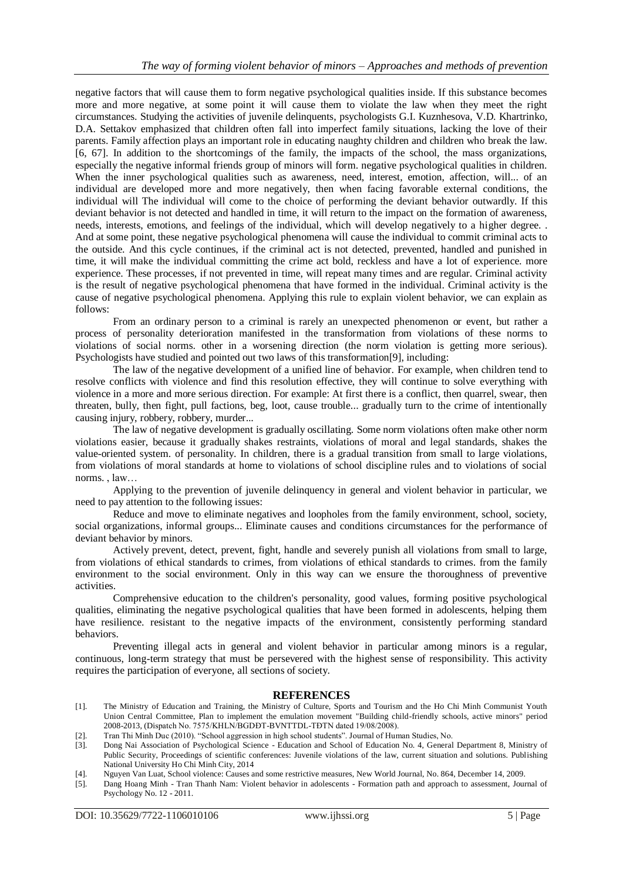negative factors that will cause them to form negative psychological qualities inside. If this substance becomes more and more negative, at some point it will cause them to violate the law when they meet the right circumstances. Studying the activities of juvenile delinquents, psychologists G.I. Kuznhesova, V.D. Khartrinko, D.A. Settakov emphasized that children often fall into imperfect family situations, lacking the love of their parents. Family affection plays an important role in educating naughty children and children who break the law. [6, 67]. In addition to the shortcomings of the family, the impacts of the school, the mass organizations, especially the negative informal friends group of minors will form. negative psychological qualities in children. When the inner psychological qualities such as awareness, need, interest, emotion, affection, will... of an individual are developed more and more negatively, then when facing favorable external conditions, the individual will The individual will come to the choice of performing the deviant behavior outwardly. If this deviant behavior is not detected and handled in time, it will return to the impact on the formation of awareness, needs, interests, emotions, and feelings of the individual, which will develop negatively to a higher degree. . And at some point, these negative psychological phenomena will cause the individual to commit criminal acts to the outside. And this cycle continues, if the criminal act is not detected, prevented, handled and punished in time, it will make the individual committing the crime act bold, reckless and have a lot of experience. more experience. These processes, if not prevented in time, will repeat many times and are regular. Criminal activity is the result of negative psychological phenomena that have formed in the individual. Criminal activity is the cause of negative psychological phenomena. Applying this rule to explain violent behavior, we can explain as follows:

From an ordinary person to a criminal is rarely an unexpected phenomenon or event, but rather a process of personality deterioration manifested in the transformation from violations of these norms to violations of social norms. other in a worsening direction (the norm violation is getting more serious). Psychologists have studied and pointed out two laws of this transformation[9], including:

The law of the negative development of a unified line of behavior. For example, when children tend to resolve conflicts with violence and find this resolution effective, they will continue to solve everything with violence in a more and more serious direction. For example: At first there is a conflict, then quarrel, swear, then threaten, bully, then fight, pull factions, beg, loot, cause trouble... gradually turn to the crime of intentionally causing injury, robbery, robbery, murder...

The law of negative development is gradually oscillating. Some norm violations often make other norm violations easier, because it gradually shakes restraints, violations of moral and legal standards, shakes the value-oriented system. of personality. In children, there is a gradual transition from small to large violations, from violations of moral standards at home to violations of school discipline rules and to violations of social norms. , law…

Applying to the prevention of juvenile delinquency in general and violent behavior in particular, we need to pay attention to the following issues:

Reduce and move to eliminate negatives and loopholes from the family environment, school, society, social organizations, informal groups... Eliminate causes and conditions circumstances for the performance of deviant behavior by minors.

Actively prevent, detect, prevent, fight, handle and severely punish all violations from small to large, from violations of ethical standards to crimes, from violations of ethical standards to crimes. from the family environment to the social environment. Only in this way can we ensure the thoroughness of preventive activities.

Comprehensive education to the children's personality, good values, forming positive psychological qualities, eliminating the negative psychological qualities that have been formed in adolescents, helping them have resilience. resistant to the negative impacts of the environment, consistently performing standard behaviors.

Preventing illegal acts in general and violent behavior in particular among minors is a regular, continuous, long-term strategy that must be persevered with the highest sense of responsibility. This activity requires the participation of everyone, all sections of society.

#### **REFERENCES**

- [1]. The Ministry of Education and Training, the Ministry of Culture, Sports and Tourism and the Ho Chi Minh Communist Youth Union Central Committee, Plan to implement the emulation movement "Building child-friendly schools, active minors" period 2008-2013, (Dispatch No. 7575/KHLN/BGDĐT-BVNTTDL-TĐTN dated 19/08/2008).
- [2]. Tran Thi Minh Duc (2010). "School aggression in high school students". Journal of Human Studies, No.
- [3]. Dong Nai Association of Psychological Science Education and School of Education No. 4, General Department 8, Ministry of Public Security, Proceedings of scientific conferences: Juvenile violations of the law, current situation and solutions. Publishing National University Ho Chi Minh City, 2014
- [4]. Nguyen Van Luat, School violence: Causes and some restrictive measures, New World Journal, No. 864, December 14, 2009.
- [5]. Dang Hoang Minh Tran Thanh Nam: Violent behavior in adolescents Formation path and approach to assessment, Journal of Psychology No. 12 - 2011.